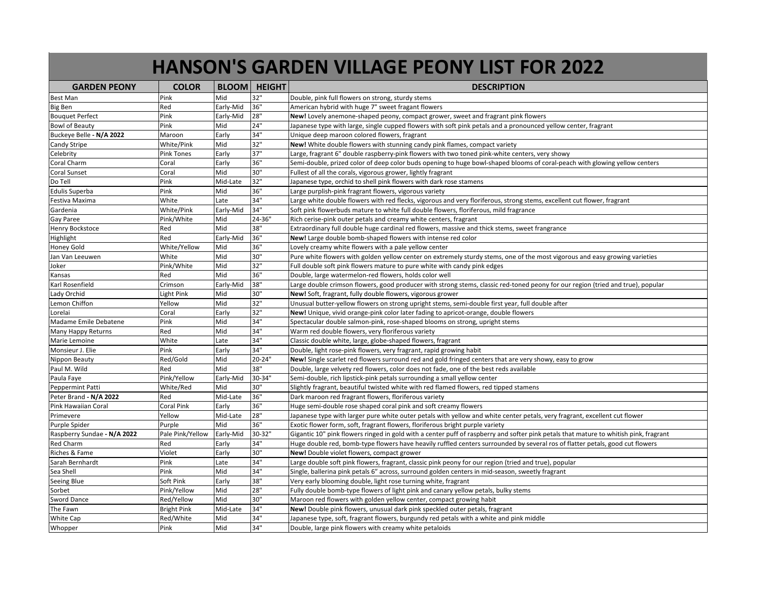|                             |                    |              |               | <b>HANSON'S GARDEN VILLAGE PEONY LIST FOR 2022</b>                                                                                    |
|-----------------------------|--------------------|--------------|---------------|---------------------------------------------------------------------------------------------------------------------------------------|
| <b>GARDEN PEONY</b>         | <b>COLOR</b>       | <b>BLOOM</b> | <b>HEIGHT</b> | <b>DESCRIPTION</b>                                                                                                                    |
| Best Man                    | Pink               | Mid          | 32"           | Double, pink full flowers on strong, sturdy stems                                                                                     |
| Big Ben                     | Red                | Early-Mid    | 36"           | American hybrid with huge 7" sweet fragant flowers                                                                                    |
| <b>Bouquet Perfect</b>      | Pink               | Early-Mid    | 28"           | New! Lovely anemone-shaped peony, compact grower, sweet and fragrant pink flowers                                                     |
| Bowl of Beauty              | Pink               | Mid          | 24"           | Japanese type with large, single cupped flowers with soft pink petals and a pronounced yellow center, fragrant                        |
| Buckeye Belle - N/A 2022    | Maroon             | Early        | 34"           | Unique deep maroon colored flowers, fragrant                                                                                          |
| Candy Stripe                | White/Pink         | Mid          | 32"           | New! White double flowers with stunning candy pink flames, compact variety                                                            |
| Celebrity                   | <b>Pink Tones</b>  | Early        | 37"           | Large, fragrant 6" double raspberry-pink flowers with two toned pink-white centers, very showy                                        |
| Coral Charm                 | Coral              | Early        | 36"           | Semi-double, prized color of deep color buds opening to huge bowl-shaped blooms of coral-peach with glowing yellow centers            |
| Coral Sunset                | Coral              | Mid          | 30"           | Fullest of all the corals, vigorous grower, lightly fragrant                                                                          |
| Do Tell                     | Pink               | Mid-Late     | 32"           | Japanese type, orchid to shell pink flowers with dark rose stamens                                                                    |
| <b>Edulis Superba</b>       | Pink               | Mid          | 36"           | Large purplish-pink fragrant flowers, vigorous variety                                                                                |
| Festiva Maxima              | White              | Late         | 34"           | Large white double flowers with red flecks, vigorous and very floriferous, strong stems, excellent cut flower, fragrant               |
| Gardenia                    | White/Pink         | Early-Mid    | 34"           | Soft pink flowerbuds mature to white full double flowers, floriferous, mild fragrance                                                 |
| Gay Paree                   | Pink/White         | Mid          | 24-36"        | Rich cerise-pink outer petals and creamy white centers, fragrant                                                                      |
| <b>Henry Bockstoce</b>      | Red                | Mid          | 38"           | Extraordinary full double huge cardinal red flowers, massive and thick stems, sweet frangrance                                        |
| Highlight                   | Red                | Early-Mid    | 36"           | New! Large double bomb-shaped flowers with intense red color                                                                          |
| Honey Gold                  | White/Yellow       | Mid          | 36"           | Lovely creamy white flowers with a pale yellow center                                                                                 |
| Jan Van Leeuwen             | White              | Mid          | 30"           | Pure white flowers with golden yellow center on extremely sturdy stems, one of the most vigorous and easy growing varieties           |
| Joker                       | Pink/White         | Mid          | 32"           | Full double soft pink flowers mature to pure white with candy pink edges                                                              |
| Kansas                      | Red                | Mid          | 36"           | Double, large watermelon-red flowers, holds color well                                                                                |
| Karl Rosenfield             | Crimson            | Early-Mid    | 38"           | Large double crimson flowers, good producer with strong stems, classic red-toned peony for our region (tried and true), popular       |
| Lady Orchid                 | Light Pink         | Mid          | 30"           | New! Soft, fragrant, fully double flowers, vigorous grower                                                                            |
| Lemon Chiffon               | Yellow             | Mid          | 32"           | Unusual butter-yellow flowers on strong upright stems, semi-double first year, full double after                                      |
| .orelai                     | Coral              | Early        | 32"           | New! Unique, vivid orange-pink color later fading to apricot-orange, double flowers                                                   |
| Madame Emile Debatene       | Pink               | Mid          | 34"           | Spectacular double salmon-pink, rose-shaped blooms on strong, upright stems                                                           |
| Many Happy Returns          | Red                | Mid          | 34"           | Warm red double flowers, very floriferous variety                                                                                     |
| Marie Lemoine               | White              | Late         | 34"           | Classic double white, large, globe-shaped flowers, fragrant                                                                           |
| Monsieur J. Elie            | Pink               | Early        | 34"           | Double, light rose-pink flowers, very fragrant, rapid growing habit                                                                   |
| Nippon Beauty               | Red/Gold           | Mid          | $20 - 24"$    | New! Single scarlet red flowers surround red and gold fringed centers that are very showy, easy to grow                               |
| Paul M. Wild                | Red                | Mid          | 38"           | Double, large velvety red flowers, color does not fade, one of the best reds available                                                |
| Paula Faye                  | Pink/Yellow        | Early-Mid    | 30-34"        | Semi-double, rich lipstick-pink petals surrounding a small yellow center                                                              |
| Peppermint Patti            | White/Red          | Mid          | 30"           | Slightly fragrant, beautiful twisted white with red flamed flowers, red tipped stamens                                                |
| Peter Brand - N/A 2022      | Red                | Mid-Late     | 36"           | Dark maroon red fragrant flowers, floriferous variety                                                                                 |
| Pink Hawaiian Coral         | Coral Pink         | Early        | 36"           | Huge semi-double rose shaped coral pink and soft creamy flowers                                                                       |
| Primevere                   | Yellow             | Mid-Late     | 28"           | Japanese type with larger pure white outer petals with yellow and white center petals, very fragrant, excellent cut flower            |
| Purple Spider               | Purple             | Mid          | 36"           | Exotic flower form, soft, fragrant flowers, floriferous bright purple variety                                                         |
| Raspberry Sundae - N/A 2022 | Pale Pink/Yellow   | Early-Mid    | 30-32"        | Gigantic 10" pink flowers ringed in gold with a center puff of raspberry and softer pink petals that mature to whitish pink, fragrant |
| Red Charm                   | Red                | Early        | 34"           | Huge double red, bomb-type flowers have heavily ruffled centers surrounded by several ros of flatter petals, good cut flowers         |
| Riches & Fame               | Violet             | Early        | 30"           | New! Double violet flowers, compact grower                                                                                            |
| Sarah Bernhardt             | Pink               | Late         | 34"           | Large double soft pink flowers, fragrant, classic pink peony for our region (tried and true), popular                                 |
| Sea Shell                   | Pink               | Mid          | 34"           | Single, ballerina pink petals 6" across, surround golden centers in mid-season, sweetly fragrant                                      |
| Seeing Blue                 | Soft Pink          | Early        | 38"           | Very early blooming double, light rose turning white, fragrant                                                                        |
| Sorbet                      | Pink/Yellow        | Mid          | 28"           | Fully double bomb-type flowers of light pink and canary yellow petals, bulky stems                                                    |
| Sword Dance                 | Red/Yellow         | Mid          | 30"           | Maroon red flowers with golden yellow center, compact growing habit                                                                   |
| The Fawn                    | <b>Bright Pink</b> | Mid-Late     | 34"           | New! Double pink flowers, unusual dark pink speckled outer petals, fragrant                                                           |
| White Cap                   | Red/White          | Mid          | 34"           | Japanese type, soft, fragrant flowers, burgundy red petals with a white and pink middle                                               |
| Whopper                     | Pink               | Mid          | 34"           | Double, large pink flowers with creamy white petaloids                                                                                |